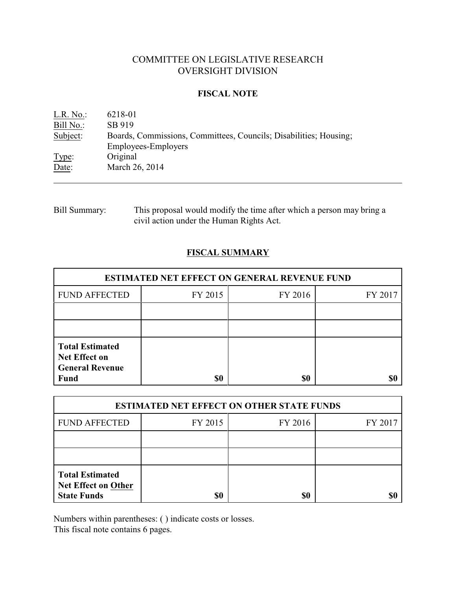# COMMITTEE ON LEGISLATIVE RESEARCH OVERSIGHT DIVISION

### **FISCAL NOTE**

| L.R. No.  | 6218-01                                                           |
|-----------|-------------------------------------------------------------------|
| Bill No.: | SB 919                                                            |
| Subject:  | Boards, Commissions, Committees, Councils; Disabilities; Housing; |
|           | Employees-Employers                                               |
| Type:     | Original                                                          |
| Date:     | March 26, 2014                                                    |
|           |                                                                   |

# Bill Summary: This proposal would modify the time after which a person may bring a civil action under the Human Rights Act.

# **FISCAL SUMMARY**

| <b>ESTIMATED NET EFFECT ON GENERAL REVENUE FUND</b>                                     |         |         |         |  |
|-----------------------------------------------------------------------------------------|---------|---------|---------|--|
| <b>FUND AFFECTED</b>                                                                    | FY 2015 | FY 2016 | FY 2017 |  |
|                                                                                         |         |         |         |  |
|                                                                                         |         |         |         |  |
| <b>Total Estimated</b><br><b>Net Effect on</b><br><b>General Revenue</b><br><b>Fund</b> | \$0     | \$0     |         |  |

| <b>ESTIMATED NET EFFECT ON OTHER STATE FUNDS</b>                           |         |         |         |  |
|----------------------------------------------------------------------------|---------|---------|---------|--|
| <b>FUND AFFECTED</b>                                                       | FY 2015 | FY 2016 | FY 2017 |  |
|                                                                            |         |         |         |  |
|                                                                            |         |         |         |  |
| <b>Total Estimated</b><br><b>Net Effect on Other</b><br><b>State Funds</b> | \$0     | \$0     |         |  |

Numbers within parentheses: ( ) indicate costs or losses.

This fiscal note contains 6 pages.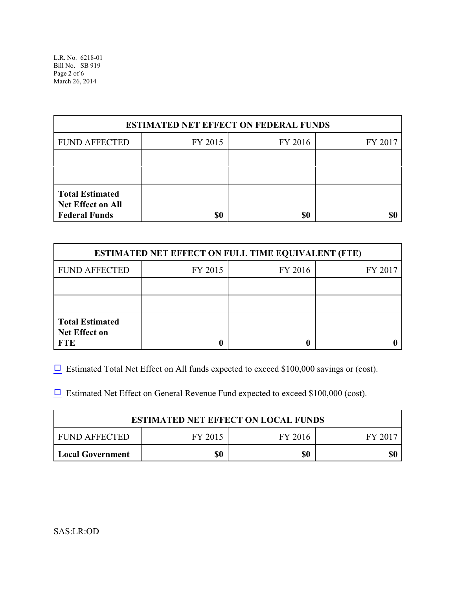| <b>ESTIMATED NET EFFECT ON FEDERAL FUNDS</b>                               |         |         |         |  |
|----------------------------------------------------------------------------|---------|---------|---------|--|
| <b>FUND AFFECTED</b>                                                       | FY 2015 | FY 2016 | FY 2017 |  |
|                                                                            |         |         |         |  |
|                                                                            |         |         |         |  |
| <b>Total Estimated</b><br><b>Net Effect on All</b><br><b>Federal Funds</b> | \$0     | \$0     |         |  |

| <b>ESTIMATED NET EFFECT ON FULL TIME EQUIVALENT (FTE)</b>    |         |         |         |  |
|--------------------------------------------------------------|---------|---------|---------|--|
| <b>FUND AFFECTED</b>                                         | FY 2015 | FY 2016 | FY 2017 |  |
|                                                              |         |         |         |  |
|                                                              |         |         |         |  |
| <b>Total Estimated</b><br><b>Net Effect on</b><br><b>FTE</b> |         |         |         |  |

 $\Box$  Estimated Total Net Effect on All funds expected to exceed \$100,000 savings or (cost).

 $\Box$  Estimated Net Effect on General Revenue Fund expected to exceed \$100,000 (cost).

| <b>ESTIMATED NET EFFECT ON LOCAL FUNDS</b> |         |         |       |
|--------------------------------------------|---------|---------|-------|
| FUND AFFECTED                              | FY 2015 | FY 2016 | FY 20 |
| <b>Local Government</b>                    | \$0     | \$0     | \$(   |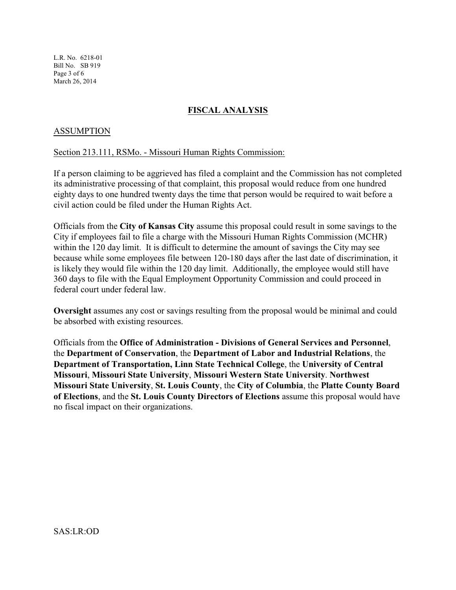L.R. No. 6218-01 Bill No. SB 919 Page 3 of 6 March 26, 2014

## **FISCAL ANALYSIS**

### ASSUMPTION

#### Section 213.111, RSMo. - Missouri Human Rights Commission:

If a person claiming to be aggrieved has filed a complaint and the Commission has not completed its administrative processing of that complaint, this proposal would reduce from one hundred eighty days to one hundred twenty days the time that person would be required to wait before a civil action could be filed under the Human Rights Act.

Officials from the **City of Kansas City** assume this proposal could result in some savings to the City if employees fail to file a charge with the Missouri Human Rights Commission (MCHR) within the 120 day limit. It is difficult to determine the amount of savings the City may see because while some employees file between 120-180 days after the last date of discrimination, it is likely they would file within the 120 day limit. Additionally, the employee would still have 360 days to file with the Equal Employment Opportunity Commission and could proceed in federal court under federal law.

**Oversight** assumes any cost or savings resulting from the proposal would be minimal and could be absorbed with existing resources.

Officials from the **Office of Administration - Divisions of General Services and Personnel**, the **Department of Conservation**, the **Department of Labor and Industrial Relations**, the **Department of Transportation, Linn State Technical College**, the **University of Central Missouri**, **Missouri State University**, **Missouri Western State University**. **Northwest Missouri State University**, **St. Louis County**, the **City of Columbia**, the **Platte County Board of Elections**, and the **St. Louis County Directors of Elections** assume this proposal would have no fiscal impact on their organizations.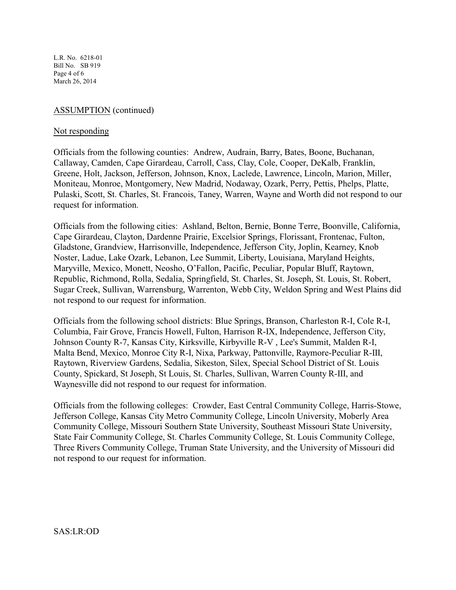L.R. No. 6218-01 Bill No. SB 919 Page 4 of 6 March 26, 2014

## ASSUMPTION (continued)

#### Not responding

Officials from the following counties: Andrew, Audrain, Barry, Bates, Boone, Buchanan, Callaway, Camden, Cape Girardeau, Carroll, Cass, Clay, Cole, Cooper, DeKalb, Franklin, Greene, Holt, Jackson, Jefferson, Johnson, Knox, Laclede, Lawrence, Lincoln, Marion, Miller, Moniteau, Monroe, Montgomery, New Madrid, Nodaway, Ozark, Perry, Pettis, Phelps, Platte, Pulaski, Scott, St. Charles, St. Francois, Taney, Warren, Wayne and Worth did not respond to our request for information.

Officials from the following cities: Ashland, Belton, Bernie, Bonne Terre, Boonville, California, Cape Girardeau, Clayton, Dardenne Prairie, Excelsior Springs, Florissant, Frontenac, Fulton, Gladstone, Grandview, Harrisonville, Independence, Jefferson City, Joplin, Kearney, Knob Noster, Ladue, Lake Ozark, Lebanon, Lee Summit, Liberty, Louisiana, Maryland Heights, Maryville, Mexico, Monett, Neosho, O'Fallon, Pacific, Peculiar, Popular Bluff, Raytown, Republic, Richmond, Rolla, Sedalia, Springfield, St. Charles, St. Joseph, St. Louis, St. Robert, Sugar Creek, Sullivan, Warrensburg, Warrenton, Webb City, Weldon Spring and West Plains did not respond to our request for information.

Officials from the following school districts: Blue Springs, Branson, Charleston R-I, Cole R-I, Columbia, Fair Grove, Francis Howell, Fulton, Harrison R-IX, Independence, Jefferson City, Johnson County R-7, Kansas City, Kirksville, Kirbyville R-V , Lee's Summit, Malden R-I, Malta Bend, Mexico, Monroe City R-I, Nixa, Parkway, Pattonville, Raymore-Peculiar R-III, Raytown, Riverview Gardens, Sedalia, Sikeston, Silex, Special School District of St. Louis County, Spickard, St Joseph, St Louis, St. Charles, Sullivan, Warren County R-III, and Waynesville did not respond to our request for information.

Officials from the following colleges: Crowder, East Central Community College, Harris-Stowe, Jefferson College, Kansas City Metro Community College, Lincoln University, Moberly Area Community College, Missouri Southern State University, Southeast Missouri State University, State Fair Community College, St. Charles Community College, St. Louis Community College, Three Rivers Community College, Truman State University, and the University of Missouri did not respond to our request for information.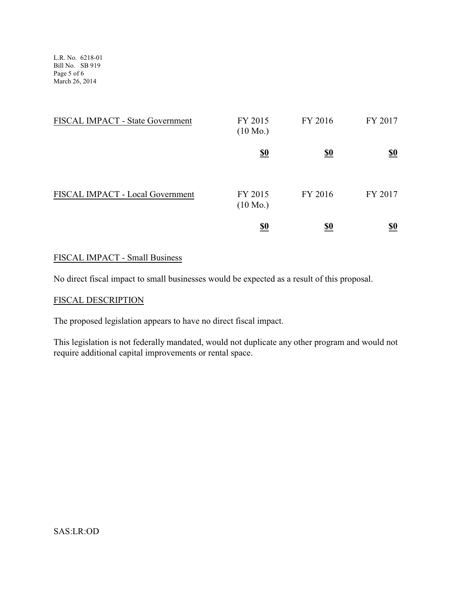L.R. No. 6218-01 Bill No. SB 919 Page 5 of 6 March 26, 2014

| FISCAL IMPACT - State Government | FY 2015<br>$(10 \text{ Mo.})$ | FY 2016    | FY 2017                       |
|----------------------------------|-------------------------------|------------|-------------------------------|
|                                  | <u>\$0</u>                    | <u>\$0</u> | $\underline{\underline{\$0}}$ |
| FISCAL IMPACT - Local Government | FY 2015<br>$(10 \text{ Mo.})$ | FY 2016    | FY 2017                       |
|                                  | <u>\$0</u>                    | <u>\$0</u> | <u>\$0</u>                    |

## FISCAL IMPACT - Small Business

No direct fiscal impact to small businesses would be expected as a result of this proposal.

### FISCAL DESCRIPTION

The proposed legislation appears to have no direct fiscal impact.

This legislation is not federally mandated, would not duplicate any other program and would not require additional capital improvements or rental space.